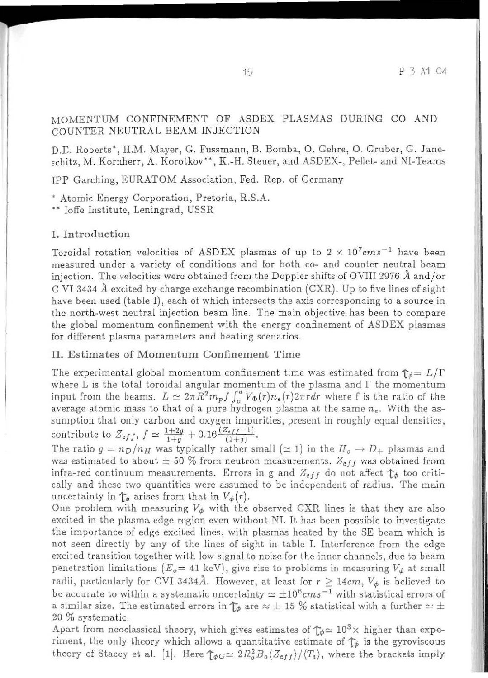#### MOMENTUM CONFINEMENT OF ASDEX PLASMAS DURING CO AND COUNTER NEUTRAL BEAM INJECTION COUNTER NEU'J RAL BEAM INJECTION

D.E. Roberts\*, H.M. Mayer, G. Fussmann, B. Bomba, O. Gehre, O. Gruber, G. Janeschitz, M. Kornherr, A. Korotkov\*\*, K.-H. Steuer, and ASDEX-, Pellet- and NI-Teams

IPP Garching, EURATOM Association, Fed. Rep. of Germany

\* Atomic Energy Corporation, Pretoria, R.S.A.

\*\* Ioffe Institute, Leningrad, USSR

# I. Introduction

Toroidal rotation velocities of ASDEX plasmas of up to 2  $\times$  10<sup>7</sup>cms<sup>-1</sup> have been measured under a variety of conditions and for both co- and counter neutral beam injection. The velocities were obtained from the Doppler shifts of OVIII 2976  $\AA$  and/or C VI 3434  $\AA$  excited by charge exchange recombination (CXR). Up to five lines of sight have been used (table I), each of which intersects the axis corresponding to a source in the north-west neutral injection beam line. The main objective has been to compare the global momentum confinement with the energy confinement of ASDEX plasmas for different plasma parameters and heating scenarios. for dilfcrent plasma parzuneters and hunting 5cenario5.

## II. Estimates of Momentum Confinement Time

The experimental global momentum confinement time was estimated from  $\uparrow_\phi = L/\Gamma$ where  $\tilde{L}$  is the total toroidal angular momentum of the plasma and  $\Gamma$  the momentum input from the beams.  $L \approx 2\pi R^2 m_p f \int_o^a V_\Phi(r) n_e(r) 2\pi r dr$  where f is the ratio of the average atomic mass to that of a pure hydrogen plasma at the same  $n_e$ . With the assumption that only carbon and oxygen impurities, present in roughly equal densities, contribute to  $Z_{eff}$ ,  $f \simeq \frac{1+2g}{1+g}+0.16\frac{(Z_{eff}-1)}{(1+g)}$ .

The ratio  $g = n_D/n_H$  was typically rather small ( $\simeq$  1) in the  $H_o \to D_+$  plasmas and was estimated to about  $\pm$  50 % from neutron measurements.  $Z_{eff}$  was obtained from infra-red continuum measurements. Errors in g and  $Z_{eff}$  do not affect  $\uparrow_{\phi}$  too critically and these two quantities were assumed to be independent of radius. The main uncertainty in  $\mathcal{T}_{\phi}$  arises from that in  $V_{\phi}(r)$ .

One problem with measuring  $V_{\phi}$  with the observed CXR lines is that they are also excited in the plasma edge region even without NI. It has been possible to investigate the importance of edge excited lines, with plasmas heated by the SE beam which is not seen directly by any of the lines of sight in table I. Interference from the edge excited transition together with low signal to noise for the inner channels, due to beam penetration limitations  $(E_o = 41 \text{ keV})$ , give rise to problems in measuring  $V_{\phi}$  at small radii, particularly for CVI 3434 $\AA$ . However, at least for  $r\geq 14cm,$   $V_{\phi}$  is believed to be accurate to within a systematic uncertainty  $\simeq \pm 10^6 cm s^{-1}$  with statistical errors of a similar size. The estimated errors in  $\mathcal{T}_{\phi}$  are  $\approx \pm$  15 % statistical with a further  $\simeq \pm$ 20 % systematic.

Apart from neoclassical theory, which gives estimates of  $\mathcal{T}_{\phi} \simeq 10^3 \times$  higher than experiment, the only theory which allows a quantitative estimate of  $\mathcal{T}_{\phi}$  is the gyroviscous theory of Stacey et al. [1]. Here  $\int_{\phi}^{1}G \approx 2R_o^2 B_o \langle Z_{eff} \rangle / \langle T_i \rangle$ , where the brackets imply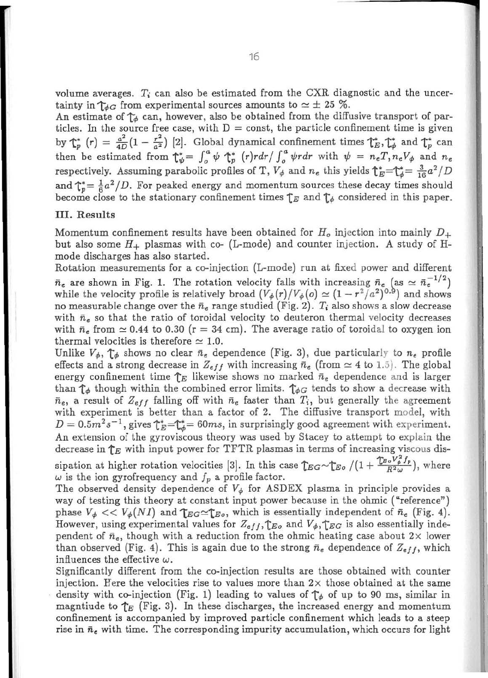volume averages.  $T_i$  can also be estimated from the CXR diagnostic and the uncertainty in  $\uparrow\!\phi_G$  from experimental sources amounts to  $\simeq$   $\pm$  25 %.

An estimate of  $\uparrow_{\phi}$  can, however, also be obtained from the diffusive transport of particles. In the source free case, with  $D =$  const, the particle confinement time is given by  $\uparrow_p^*$   $(r) = \frac{a^2}{4D}(1 - \frac{r^2}{a^2})$  [2]. Global dynamical confinement times  $\uparrow_p^*$ ,  $\uparrow_p^*$  and  $\uparrow_p^*$  can then be estimated from  $\int_{-\psi}^{\psi} = \int_{0}^{a} \psi \int_{\psi}^{*} (r) r dr / \int_{0}^{a} \psi r dr$  with  $\psi = n_{e} T, n_{e} V_{\psi}$  and  $n_{e}$ respectively. Assuming parabolic profiles of T,  $V_{\phi}$  and  $n_e$  this yields  $\int_{E}^{*}=\int_{\phi}^{*}=\frac{3}{16}a^2/D$ and  $\int_{p}^{*}=\frac{1}{6}a^2/D$ . For peaked energy and momentum sources these decay times should become close to the stationary confinement times  $\uparrow_E$  and  $\uparrow_\phi$  considered in this paper.

### III. Results III. Results

Momentum confinement results have been obtained for  $H_o$  injection into mainly  $D_+$ but also some  $H_+$  plasmas with co- (L-mode) and counter injection. A study of Hmode discharges has also started. mode discharges has also started.

Rotation measurements for a co-injection (L-mode) run at fixed power and different  $\bar{n}_e$  are shown in Fig. 1. The rotation velocity falls with increasing  $\bar{n}_e$  (as  $\approx \bar{n}_e^{-1/2}$ ) while the velocity profile is relatively broad  $(V_{\phi}(r)/V_{\phi}(o) \simeq (1 - r^2/a^2)^{0.9})$  and shows no measurable change over the  $\bar{n}_e$  range studied (Fig. 2).  $T_i$  also shows a slow decrease with  $\bar{n}_e$  so that the ratio of toroidal velocity to deuteron thermal velocity decreases with  $\bar{n}_{e}$  from  $\simeq 0.44$  to 0.30 (r = 34 cm). The average ratio of toroidal to oxygen ion thermal velocities is therefore  $\simeq$  1.0.

Unlike  $V_{\phi}$ ,  $\uparrow_{\phi}$  shows no clear  $\bar{n}_e$  dependence (Fig. 3), due particularly to  $n_e$  profile effects and a strong decrease in  $Z_{eff}$  with increasing  $\bar{n}_e$  (from  $\simeq 4$  to 1.5). The global energy confinement time  $\uparrow_E$  likewise shows no marked  $\bar{n}_e$  dependence and is larger than  $\tau_{\phi}$  though within the combined error limits.  $\tau_{\phi}$  tends to show a decrease with  $\bar{n}_e$ , a result of  $Z_{eff}$  falling off with  $\bar{n}_e$  faster than  $T_i$ , but generally the agreement with experiment is better than a factor of 2. The diffusive transport model, with  $D = 0.5 m^2 s^{-1}$ , gives  $\zeta_E^* = \zeta_E^* = 60 ms$ , in surprisingly good agreement with experiment. An extension of the gyroviscous theory was used by Stacey to attempt to explain the decrease in  $\uparrow_E$  with input power for TFTR plasmas in terms of increasing viscous dissipation at higher rotation velocities [3]. In this case  $\int_{EG} \sim \int_{EG} / (1 + \frac{\int_{EG} V_{\phi}^2 f_p}{R^2 \omega})$ , where

 $\omega$  is the ion gyrofrequency and  $f_p$  a profile factor.

The observed density dependence of  $V_{\phi}$  for ASDEX plasma in principle provides a way of testing this theory at constant input power because in the ohmic ("reference") way of testing this theory at constant input power because in the ohmic ("reference") phase  $V_{\phi} \ll V_{\phi}(NI)$  and  $\mathcal{T}_{EG} \simeq \mathcal{T}_{E_o}$ , which is essentially independent of  $\bar{n}_e$  (Fig. 4). However, using experimental values for  $Z_{eff}$ ,  $\uparrow_{E_o}$  and  $V_{\phi}$ ,  $\uparrow_{E_G}$  is also essentially independent of  $\bar{n}_e$ , though with a reduction from the ohmic heating case about  $2 \times$  lower than observed (Fig. 4). This is again due to the strong  $\bar{n}_e$  dependence of  $Z_{eff}$ , which influences the effective  $\omega.$ 

Significantly different from the co-injection results are those obtained with counter Significantly different from the co-injection results are those obtained with counter injection. Here the velocities rise to values more than  $2\times$  those obtained at the same density with co-injection (Fig. 1) leading to values of  $\uparrow_{\phi}$  of up to 90 ms, similar in magntiude to  $\uparrow_E$  (Fig. 3). In these discharges, the increased energy and momentum confinement is accompanied by improved particle confinement which leads to a steep confinement is accompanied by improved particle confinement which leads to a. steep rise in  $\bar{n}_e$  with time. The corresponding impurity accumulation, which occurs for light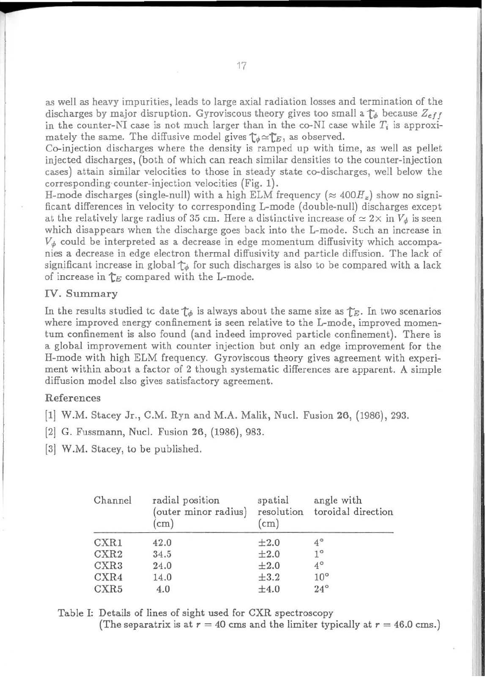as well as heavy impurities, leads to large axial radiation losses and termination of the discharges by major disruption. Gyroviscous theory gives too small a  $\mathcal{T}_{\phi}$  because  $Z_{eff}$ in the counter-NI case is not much larger than in the co-NI case while  $T_i$  is approximately the same. The diffusive model gives  $\mathcal{T}_\phi{\simeq}\mathcal{T}_E,$  as observed.

Co-injection discharges where the density is ramped up with time, as well as pellet injected discharges, (both of which can reach similar densities to the counter-injection cases) attain similar velocities to those in steady state co-discharges, well below the corresponding counter-injection velocities (Fig. 1).

H-mode discharges (single-null) with a high ELM frequency ( $\approx 400$ *H<sub>z</sub>*) show no significant differences in velocity to corresponding L-mode (double-null) discharges except at the relatively large radius of 35 cm. Here a distinctive increase of  $\simeq 2\times$  in  $V_\phi$  is seen which disappears when the discharge goes back into the L-mode. Such an increase in  $V_{\phi}$  could be interpreted as a decrease in edge momentum diffusivity which accompanies a decrease in edge electron thermal diffusivity and particle diffusion. The lack of significant increase in global  $\uparrow_\phi$  for such discharges is also to be compared with a lack of increase in  $\mathcal{T}_E$  compared with the L-mode.

# IV. Summary

In the results studied tc date  $\uparrow_{\phi}$  is always about the same size as  $\uparrow_{E}$ . In two scenarios where improved energy confinement is seen relative to the L-mode, improved momentum confinement is also found (and indeed improved particle confinement). There is a global improvement with counter injection but only an edge improvement for the H-mode with high ELM frequency. Gyroviscous theory gives agreement with experiment within about a factor of 2 though systematic differences are apparent. A simple diffusion model also gives satisfactory agreement.

#### Refer ences References

- [1] W.M. Stacey Jr., C.M. Ryn and M.A. Malik, Nucl. Fusion 26, (1986), 293.
- [2] G. Fussmann, Nucl. Fusion 26, (1986), 983.
- [3] W.M. Stacey, to be published.

| Channel          | radial position<br>(outer minor radius)<br>$\text{(cm)}$ | spatial<br>resolution<br>$(c_{\rm m})$ | angle with<br>toroidal direction |
|------------------|----------------------------------------------------------|----------------------------------------|----------------------------------|
| CXR1             | 42.0                                                     | $\pm 2.0$                              | $4^{\circ}$                      |
| CXR2             | 34.5                                                     | $\pm 2.0$                              | $1^{\circ}$                      |
| CXR <sub>3</sub> | 24.0                                                     | $\pm 2.0$                              | $4^\circ$                        |
| CXR4             | 14.0                                                     | $\pm 3.2$                              | $10^{\circ}$                     |
| CXR5             | 4.0                                                      | $\pm 4.0$                              | $24^\circ$                       |

Table I: Details of lines of sight used for CXR spectroscopy

(The separatrix is at  $r = 40$  cms and the limiter typically at  $r = 46.0$  cms.)